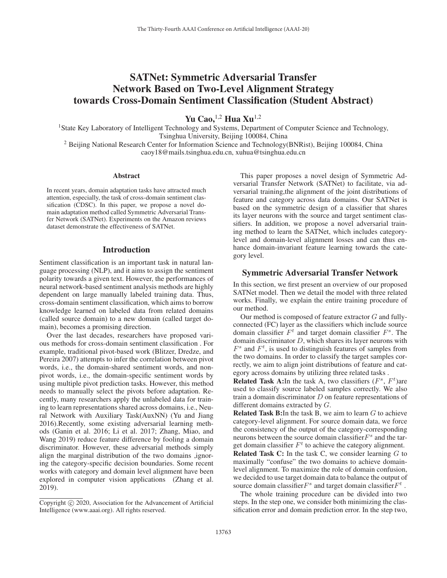# SATNet: Symmetric Adversarial Transfer Network Based on Two-Level Alignment Strategy towards Cross-Domain Sentiment Classification (Student Abstract)

Yu Cao,  $1,2$  Hua Xu $1,2$ 

<sup>1</sup>State Key Laboratory of Intelligent Technology and Systems, Department of Computer Science and Technology, Tsinghua University, Beijing 100084, China

<sup>2</sup> Beijing National Research Center for Information Science and Technology(BNRist), Beijing 100084, China caoy18@mails.tsinghua.edu.cn, xuhua@tsinghua.edu.cn

#### Abstract

In recent years, domain adaptation tasks have attracted much attention, especially, the task of cross-domain sentiment classification (CDSC). In this paper, we propose a novel domain adaptation method called Symmetric Adversarial Transfer Network (SATNet). Experiments on the Amazon reviews dataset demonstrate the effectiveness of SATNet.

#### Introduction

Sentiment classification is an important task in natural language processing (NLP), and it aims to assign the sentiment polarity towards a given text. However, the performances of neural network-based sentiment analysis methods are highly dependent on large manually labeled training data. Thus, cross-domain sentiment classification, which aims to borrow knowledge learned on labeled data from related domains (called source domain) to a new domain (called target domain), becomes a promising direction.

Over the last decades, researchers have proposed various methods for cross-domain sentiment classification . For example, traditional pivot-based work (Blitzer, Dredze, and Pereira 2007) attempts to infer the correlation between pivot words, i.e., the domain-shared sentiment words, and nonpivot words, i.e., the domain-specific sentiment words by using multiple pivot prediction tasks. However, this method needs to manually select the pivots before adaptation. Recently, many researchers apply the unlabeled data for training to learn representations shared across domains, i.e., Neural Network with Auxiliary Task(AuxNN) (Yu and Jiang 2016).Recently, some existing adversarial learning methods (Ganin et al. 2016; Li et al. 2017; Zhang, Miao, and Wang 2019) reduce feature difference by fooling a domain discriminator. However, these adversarial methods simply align the marginal distribution of the two domains ,ignoring the category-specific decision boundaries. Some recent works with category and domain level alignment have been explored in computer vision applications (Zhang et al. 2019).

This paper proposes a novel design of Symmetric Adversarial Transfer Network (SATNet) to facilitate, via adversarial training,the alignment of the joint distributions of feature and category across data domains. Our SATNet is based on the symmetric design of a classifier that shares its layer neurons with the source and target sentiment classifiers. In addition, we propose a novel adversarial training method to learn the SATNet, which includes categorylevel and domain-level alignment losses and can thus enhance domain-invariant feature learning towards the category level.

## Symmetric Adversarial Transfer Network

In this section, we first present an overview of our proposed SATNet model. Then we detail the model with three related works. Finally, we explain the entire training procedure of our method.

Our method is composed of feature extractor G and fullyconnected (FC) layer as the classifiers which include source domain classifier  $F<sup>t</sup>$  and target domain classifier  $F<sup>s</sup>$ . The domain discriminator D, which shares its layer neurons with  $F<sup>s</sup>$  and  $F<sup>t</sup>$ , is used to distinguish features of samples from the two domains. In order to classify the target samples correctly, we aim to align joint distributions of feature and category across domains by utilizing three related tasks .

**Related Task A:**In the task A, two classifiers  $(F^s, F^t)$ are used to classify source labeled samples correctly. We also train a domain discriminator  $D$  on feature representations of different domains extracted by G.

**Related Task B:**In the task B, we aim to learn  $G$  to achieve category-level alignment. For source domain data, we force the consistency of the output of the category-corresponding neurons between the source domain classifier $F<sup>s</sup>$  and the target domain classifier  $F<sup>t</sup>$  to achieve the category alignment. Related Task C: In the task C, we consider learning  $G$  to maximally "confuse" the two domains to achieve domainlevel alignment. To maximize the role of domain confusion, we decided to use target domain data to balance the output of source domain classifier  $F^s$  and target domain classifier  $F^t$ .

The whole training procedure can be divided into two steps. In the step one, we consider both minimizing the classification error and domain prediction error. In the step two,

Copyright  $\odot$  2020, Association for the Advancement of Artificial Intelligence (www.aaai.org). All rights reserved.